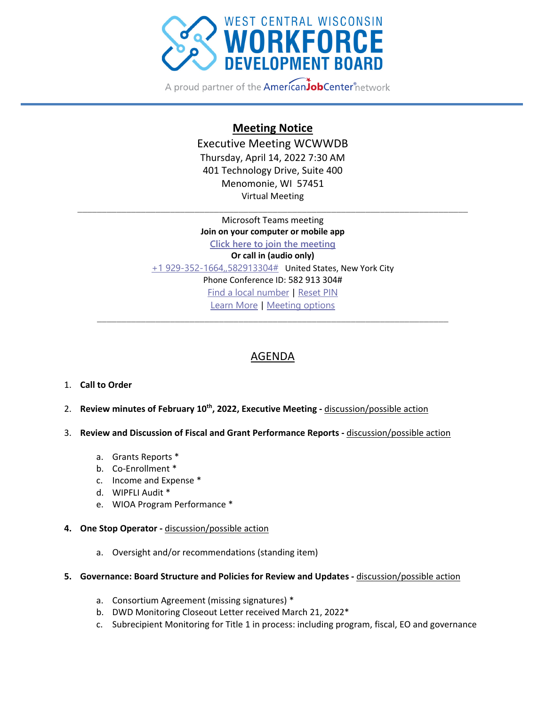

A proud partner of the **American JobCenter** network

## **Meeting Notice**

Executive Meeting WCWWDB Thursday, April 14, 2022 7:30 AM 401 Technology Drive, Suite 400 Menomonie, WI 57451 Virtual Meeting

\_\_\_\_\_\_\_\_\_\_\_\_\_\_\_\_\_\_\_\_\_\_\_\_\_\_\_\_\_\_\_\_\_\_\_\_\_\_\_\_\_\_\_\_\_\_\_\_\_\_\_\_\_\_\_\_\_\_\_\_\_\_\_\_\_\_\_\_\_\_\_\_\_\_\_\_\_\_\_\_

Microsoft Teams meeting **Join on your computer or mobile app Click here to join the meeting Or call in (audio only)** +1 929-352-1664,,582913304# United States, New York City Phone Conference ID: 582 913 304# Find a local number | Reset PIN Learn More | Meeting options \_\_\_\_\_\_\_\_\_\_\_\_\_\_\_\_\_\_\_\_\_\_\_\_\_\_\_\_\_\_\_\_\_\_\_\_\_\_\_\_\_\_\_\_\_\_\_\_\_\_\_\_\_\_\_\_\_\_\_\_\_\_\_\_\_\_\_\_\_\_\_\_

## AGENDA

## 1. **Call to Order**

- 2. **Review minutes of February 10th, 2022, Executive Meeting ‐** discussion/possible action
- 3. **Review and Discussion of Fiscal and Grant Performance Reports ‐** discussion/possible action
	- a. Grants Reports \*
	- b. Co‐Enrollment \*
	- c. Income and Expense \*
	- d. WIPFLI Audit \*
	- e. WIOA Program Performance \*
- **4. One Stop Operator ‐** discussion/possible action
	- a. Oversight and/or recommendations (standing item)
- **5. Governance: Board Structure and Policies for Review and Updates ‐** discussion/possible action
	- a. Consortium Agreement (missing signatures) \*
	- b. DWD Monitoring Closeout Letter received March 21, 2022\*
	- c. Subrecipient Monitoring for Title 1 in process: including program, fiscal, EO and governance